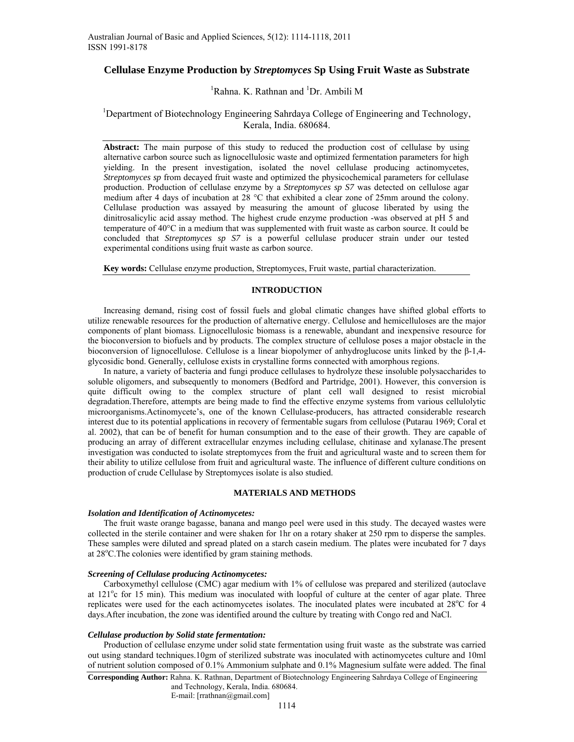# **Cellulase Enzyme Production by** *Streptomyces* **Sp Using Fruit Waste as Substrate**

# <sup>1</sup>Rahna. K. Rathnan and <sup>1</sup>Dr. Ambili M

# <sup>1</sup>Department of Biotechnology Engineering Sahrdaya College of Engineering and Technology, Kerala, India. 680684.

**Abstract:** The main purpose of this study to reduced the production cost of cellulase by using alternative carbon source such as lignocellulosic waste and optimized fermentation parameters for high yielding. In the present investigation, isolated the novel cellulase producing actinomycetes, *Streptomyces sp* from decayed fruit waste and optimized the physicochemical parameters for cellulase production. Production of cellulase enzyme by a *Streptomyces sp S7* was detected on cellulose agar medium after 4 days of incubation at 28 °C that exhibited a clear zone of 25mm around the colony. Cellulase production was assayed by measuring the amount of glucose liberated by using the dinitrosalicylic acid assay method. The highest crude enzyme production -was observed at pH 5 and temperature of 40°C in a medium that was supplemented with fruit waste as carbon source. It could be concluded that *Streptomyces sp S7* is a powerful cellulase producer strain under our tested experimental conditions using fruit waste as carbon source.

**Key words:** Cellulase enzyme production, Streptomyces, Fruit waste, partial characterization.

# **INTRODUCTION**

Increasing demand, rising cost of fossil fuels and global climatic changes have shifted global efforts to utilize renewable resources for the production of alternative energy. Cellulose and hemicelluloses are the major components of plant biomass. Lignocellulosic biomass is a renewable, abundant and inexpensive resource for the bioconversion to biofuels and by products. The complex structure of cellulose poses a major obstacle in the bioconversion of lignocellulose. Cellulose is a linear biopolymer of anhydroglucose units linked by the β-1,4 glycosidic bond. Generally, cellulose exists in crystalline forms connected with amorphous regions.

In nature, a variety of bacteria and fungi produce cellulases to hydrolyze these insoluble polysaccharides to soluble oligomers, and subsequently to monomers (Bedford and Partridge, 2001). However, this conversion is quite difficult owing to the complex structure of plant cell wall designed to resist microbial degradation.Therefore, attempts are being made to find the effective enzyme systems from various cellulolytic microorganisms.Actinomycete's, one of the known Cellulase-producers, has attracted considerable research interest due to its potential applications in recovery of fermentable sugars from cellulose (Putarau 1969; Coral et al. 2002), that can be of benefit for human consumption and to the ease of their growth. They are capable of producing an array of different extracellular enzymes including cellulase, chitinase and xylanase.The present investigation was conducted to isolate streptomyces from the fruit and agricultural waste and to screen them for their ability to utilize cellulose from fruit and agricultural waste. The influence of different culture conditions on production of crude Cellulase by Streptomyces isolate is also studied.

# **MATERIALS AND METHODS**

## *Isolation and Identification of Actinomycetes:*

The fruit waste orange bagasse, banana and mango peel were used in this study. The decayed wastes were collected in the sterile container and were shaken for 1hr on a rotary shaker at 250 rpm to disperse the samples. These samples were diluted and spread plated on a starch casein medium. The plates were incubated for 7 days at 28°C. The colonies were identified by gram staining methods.

# *Screening of Cellulase producing Actinomycetes:*

Carboxymethyl cellulose (CMC) agar medium with 1% of cellulose was prepared and sterilized (autoclave at 121<sup>o</sup>c for 15 min). This medium was inoculated with loopful of culture at the center of agar plate. Three replicates were used for the each actinomycetes isolates. The inoculated plates were incubated at 28°C for 4 days.After incubation, the zone was identified around the culture by treating with Congo red and NaCl.

## *Cellulase production by Solid state fermentation:*

Production of cellulase enzyme under solid state fermentation using fruit waste as the substrate was carried out using standard techniques.10gm of sterilized substrate was inoculated with actinomycetes culture and 10ml of nutrient solution composed of 0.1% Ammonium sulphate and 0.1% Magnesium sulfate were added. The final

**Corresponding Author:** Rahna. K. Rathnan, Department of Biotechnology Engineering Sahrdaya College of Engineering and Technology, Kerala, India. 680684.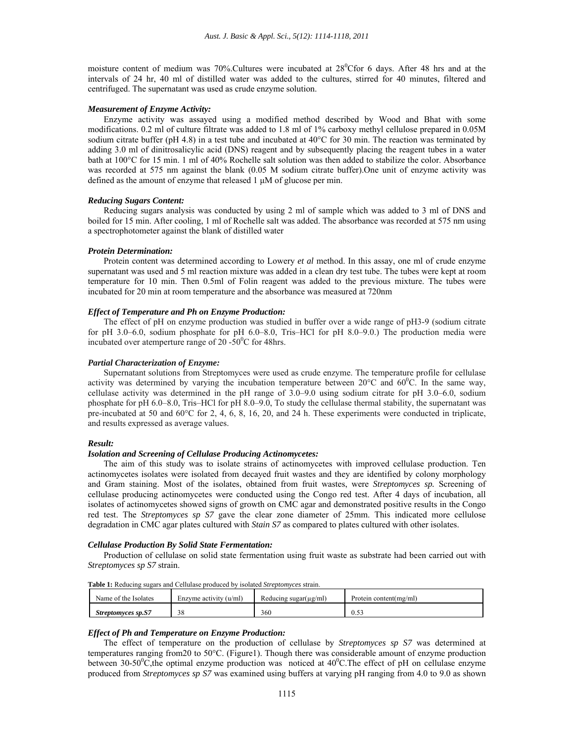moisture content of medium was 70%. Cultures were incubated at  $28^{\circ}$ Cfor 6 days. After 48 hrs and at the intervals of 24 hr, 40 ml of distilled water was added to the cultures, stirred for 40 minutes, filtered and centrifuged. The supernatant was used as crude enzyme solution.

## *Measurement of Enzyme Activity:*

Enzyme activity was assayed using a modified method described by Wood and Bhat with some modifications. 0.2 ml of culture filtrate was added to 1.8 ml of 1% carboxy methyl cellulose prepared in 0.05M sodium citrate buffer (pH 4.8) in a test tube and incubated at 40°C for 30 min. The reaction was terminated by adding 3.0 ml of dinitrosalicylic acid (DNS) reagent and by subsequently placing the reagent tubes in a water bath at 100°C for 15 min. 1 ml of 40% Rochelle salt solution was then added to stabilize the color. Absorbance was recorded at 575 nm against the blank (0.05 M sodium citrate buffer).One unit of enzyme activity was defined as the amount of enzyme that released 1 μM of glucose per min.

# *Reducing Sugars Content:*

Reducing sugars analysis was conducted by using 2 ml of sample which was added to 3 ml of DNS and boiled for 15 min. After cooling, 1 ml of Rochelle salt was added. The absorbance was recorded at 575 nm using a spectrophotometer against the blank of distilled water

#### *Protein Determination:*

Protein content was determined according to Lowery *et al* method. In this assay, one ml of crude enzyme supernatant was used and 5 ml reaction mixture was added in a clean dry test tube. The tubes were kept at room temperature for 10 min. Then 0.5ml of Folin reagent was added to the previous mixture. The tubes were incubated for 20 min at room temperature and the absorbance was measured at 720nm

# *Effect of Temperature and Ph on Enzyme Production:*

The effect of pH on enzyme production was studied in buffer over a wide range of pH3-9 (sodium citrate for pH 3.0–6.0, sodium phosphate for pH 6.0–8.0, Tris–HCl for pH 8.0–9.0.) The production media were incubated over atemperture range of 20 -50 $\mathrm{^0C}$  for 48hrs.

#### *Partial Characterization of Enzyme:*

Supernatant solutions from Streptomyces were used as crude enzyme. The temperature profile for cellulase activity was determined by varying the incubation temperature between  $20^{\circ}$ C and  $60^{\circ}$ C. In the same way, cellulase activity was determined in the pH range of 3.0–9.0 using sodium citrate for pH 3.0–6.0, sodium phosphate for pH 6.0–8.0, Tris–HCl for pH 8.0–9.0, To study the cellulase thermal stability, the supernatant was pre-incubated at 50 and 60 $^{\circ}$ C for 2, 4, 6, 8, 16, 20, and 24 h. These experiments were conducted in triplicate, and results expressed as average values.

## *Result:*

# *Isolation and Screening of Cellulase Producing Actinomycetes:*

The aim of this study was to isolate strains of actinomycetes with improved cellulase production. Ten actinomycetes isolates were isolated from decayed fruit wastes and they are identified by colony morphology and Gram staining. Most of the isolates, obtained from fruit wastes, were *Streptomyces sp.* Screening of cellulase producing actinomycetes were conducted using the Congo red test. After 4 days of incubation, all isolates of actinomycetes showed signs of growth on CMC agar and demonstrated positive results in the Congo red test. The *Streptomyces sp S7* gave the clear zone diameter of 25mm. This indicated more cellulose degradation in CMC agar plates cultured with *Stain S7* as compared to plates cultured with other isolates.

# *Cellulase Production By Solid State Fermentation:*

Production of cellulase on solid state fermentation using fruit waste as substrate had been carried out with *Streptomyces sp S7* strain.

| Name of the Isolates      | Enzyme activity $(u/m)$ | Reducing sugar $(\mu g/ml)$ | Protein content (mg/ml) |
|---------------------------|-------------------------|-----------------------------|-------------------------|
| <b>Streptomyces sp.S7</b> | $\sim$                  | 360                         | $\sim$<br>v. j          |

**Table 1:** Reducing sugars and Cellulase produced by isolated *Streptomyces* strain.

#### *Effect of Ph and Temperature on Enzyme Production:*

The effect of temperature on the production of cellulase by *Streptomyces sp S7* was determined at temperatures ranging from20 to 50°C. (Figure1). Though there was considerable amount of enzyme production between 30-50<sup>o</sup>C, the optimal enzyme production was noticed at 40<sup>o</sup>C. The effect of pH on cellulase enzyme produced from *Streptomyces sp S7* was examined using buffers at varying pH ranging from 4.0 to 9.0 as shown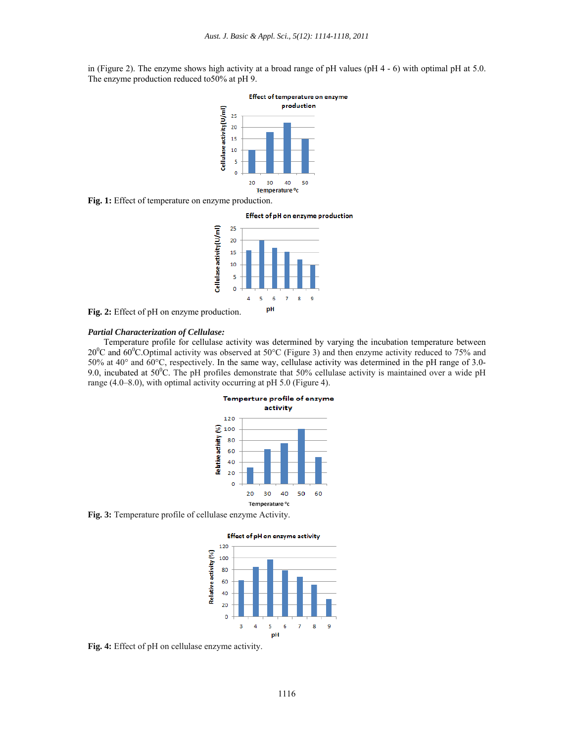in (Figure 2). The enzyme shows high activity at a broad range of pH values (pH 4 - 6) with optimal pH at 5.0. The enzyme production reduced to50% at pH 9.



**Fig. 1:** Effect of temperature on enzyme production.



**Fig. 2:** Effect of pH on enzyme production.

## *Partial Characterization of Cellulase:*

Temperature profile for cellulase activity was determined by varying the incubation temperature between 20<sup>0</sup>C and 60<sup>0</sup>C. Optimal activity was observed at 50°C (Figure 3) and then enzyme activity reduced to 75% and 50% at 40° and 60°C, respectively. In the same way, cellulase activity was determined in the pH range of 3.0- 9.0, incubated at  $50^{\circ}$ C. The pH profiles demonstrate that  $50\%$  cellulase activity is maintained over a wide pH range (4.0–8.0), with optimal activity occurring at pH 5.0 (Figure 4).



**Fig. 3:** Temperature profile of cellulase enzyme Activity.



**Fig. 4:** Effect of pH on cellulase enzyme activity.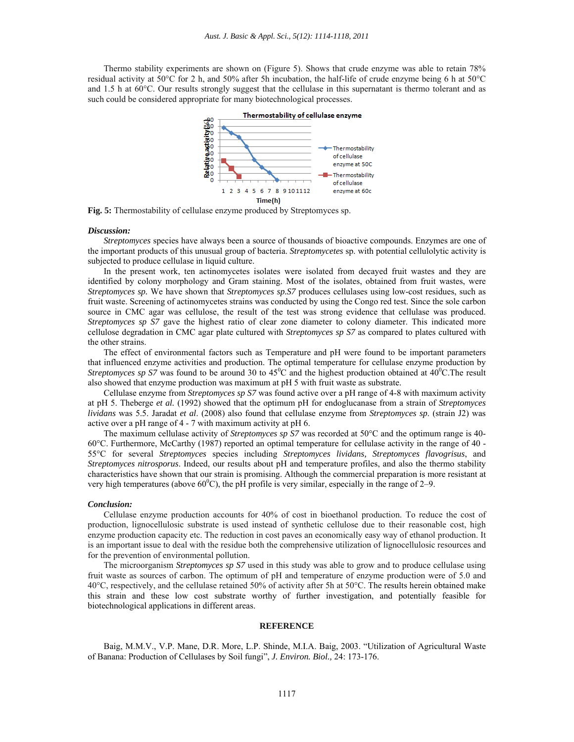Thermo stability experiments are shown on (Figure 5). Shows that crude enzyme was able to retain 78% residual activity at 50°C for 2 h, and 50% after 5h incubation, the half-life of crude enzyme being 6 h at 50°C and 1.5 h at 60°C. Our results strongly suggest that the cellulase in this supernatant is thermo tolerant and as such could be considered appropriate for many biotechnological processes.



**Fig. 5:** Thermostability of cellulase enzyme produced by Streptomyces sp.

### *Discussion:*

*Streptomyces* species have always been a source of thousands of bioactive compounds. Enzymes are one of the important products of this unusual group of bacteria. *Streptomycetes* sp. with potential cellulolytic activity is subjected to produce cellulase in liquid culture.

In the present work, ten actinomycetes isolates were isolated from decayed fruit wastes and they are identified by colony morphology and Gram staining. Most of the isolates, obtained from fruit wastes, were *Streptomyces sp.* We have shown that *Streptomyces sp.S7* produces cellulases using low-cost residues, such as fruit waste. Screening of actinomycetes strains was conducted by using the Congo red test. Since the sole carbon source in CMC agar was cellulose, the result of the test was strong evidence that cellulase was produced. *Streptomyces sp S7* gave the highest ratio of clear zone diameter to colony diameter. This indicated more cellulose degradation in CMC agar plate cultured with *Streptomyces sp S7* as compared to plates cultured with the other strains.

The effect of environmental factors such as Temperature and pH were found to be important parameters that influenced enzyme activities and production. The optimal temperature for cellulase enzyme production by *Streptomyces sp S7* was found to be around 30 to  $45^{\circ}$ C and the highest production obtained at  $40^{\circ}$ C. The result also showed that enzyme production was maximum at pH 5 with fruit waste as substrate.

Cellulase enzyme from *Streptomyces sp S7* was found active over a pH range of 4-8 with maximum activity at pH 5. Theberge *et al.* (1992) showed that the optimum pH for endoglucanase from a strain of *Streptomyces lividans* was 5.5. Jaradat *et al*. (2008) also found that cellulase enzyme from *Streptomyces sp*. (strain J2) was active over a pH range of 4 - 7 with maximum activity at pH 6.

The maximum cellulase activity of *Streptomyces sp S7* was recorded at 50°C and the optimum range is 40- 60°C. Furthermore, McCarthy (1987) reported an optimal temperature for cellulase activity in the range of 40 - 55°C for several *Streptomyces* species including *Streptomyces lividans, Streptomyces flavogrisus*, and *Streptomyces nitrosporus*. Indeed, our results about pH and temperature profiles, and also the thermo stability characteristics have shown that our strain is promising. Although the commercial preparation is more resistant at very high temperatures (above  $60^{\circ}$ C), the pH profile is very similar, especially in the range of 2–9.

#### *Conclusion:*

Cellulase enzyme production accounts for 40% of cost in bioethanol production. To reduce the cost of production, lignocellulosic substrate is used instead of synthetic cellulose due to their reasonable cost, high enzyme production capacity etc. The reduction in cost paves an economically easy way of ethanol production. It is an important issue to deal with the residue both the comprehensive utilization of lignocellulosic resources and for the prevention of environmental pollution.

The microorganism *Streptomyces sp S7* used in this study was able to grow and to produce cellulase using fruit waste as sources of carbon. The optimum of pH and temperature of enzyme production were of 5.0 and 40°C, respectively, and the cellulase retained 50% of activity after 5h at 50°C. The results herein obtained make this strain and these low cost substrate worthy of further investigation, and potentially feasible for biotechnological applications in different areas.

### **REFERENCE**

Baig, M.M.V., V.P. Mane, D.R. More, L.P. Shinde, M.I.A. Baig, 2003. "Utilization of Agricultural Waste of Banana: Production of Cellulases by Soil fungi", *J. Environ. Biol.,* 24: 173-176.